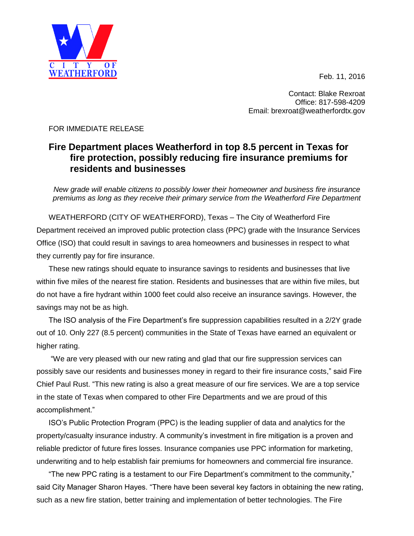Feb. 11, 2016



Contact: Blake Rexroat Office: 817-598-4209 Email: brexroat@weatherfordtx.gov

## FOR IMMEDIATE RELEASE

## **Fire Department places Weatherford in top 8.5 percent in Texas for fire protection, possibly reducing fire insurance premiums for residents and businesses**

*New grade will enable citizens to possibly lower their homeowner and business fire insurance premiums as long as they receive their primary service from the Weatherford Fire Department*

WEATHERFORD (CITY OF WEATHERFORD), Texas – The City of Weatherford Fire Department received an improved public protection class (PPC) grade with the Insurance Services Office (ISO) that could result in savings to area homeowners and businesses in respect to what they currently pay for fire insurance.

These new ratings should equate to insurance savings to residents and businesses that live within five miles of the nearest fire station. Residents and businesses that are within five miles, but do not have a fire hydrant within 1000 feet could also receive an insurance savings. However, the savings may not be as high.

The ISO analysis of the Fire Department's fire suppression capabilities resulted in a 2/2Y grade out of 10. Only 227 (8.5 percent) communities in the State of Texas have earned an equivalent or higher rating.

"We are very pleased with our new rating and glad that our fire suppression services can possibly save our residents and businesses money in regard to their fire insurance costs," said Fire Chief Paul Rust. "This new rating is also a great measure of our fire services. We are a top service in the state of Texas when compared to other Fire Departments and we are proud of this accomplishment."

ISO's Public Protection Program (PPC) is the leading supplier of data and analytics for the property/casualty insurance industry. A community's investment in fire mitigation is a proven and reliable predictor of future fires losses. Insurance companies use PPC information for marketing, underwriting and to help establish fair premiums for homeowners and commercial fire insurance.

"The new PPC rating is a testament to our Fire Department's commitment to the community," said City Manager Sharon Hayes. "There have been several key factors in obtaining the new rating, such as a new fire station, better training and implementation of better technologies. The Fire